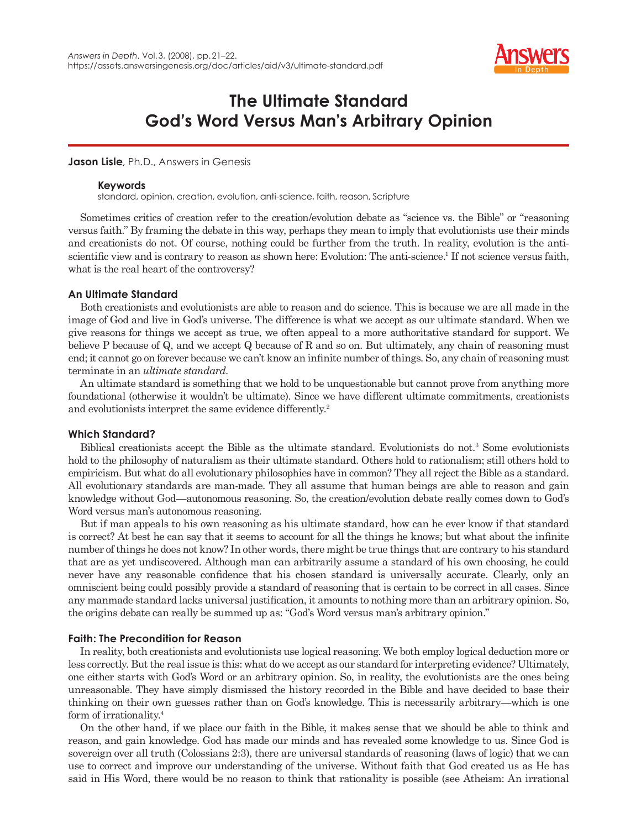

# **The Ultimate Standard God's Word Versus Man's Arbitrary Opinion**

**Jason Lisle**, Ph.D., Answers in Genesis

#### **Keywords**

standard, opinion, creation, evolution, anti-science, faith, reason, Scripture

Sometimes critics of creation refer to the creation/evolution debate as "science vs. the Bible" or "reasoning versus faith." By framing the debate in this way, perhaps they mean to imply that evolutionists use their minds and creationists do not. Of course, nothing could be further from the truth. In reality, evolution is the antiscientific view and is contrary to reason as shown here: Evolution: The anti-science.<sup>1</sup> If not science versus faith, what is the real heart of the controversy?

# **An Ultimate Standard**

Both creationists and evolutionists are able to reason and do science. This is because we are all made in the image of God and live in God's universe. The difference is what we accept as our ultimate standard. When we give reasons for things we accept as true, we often appeal to a more authoritative standard for support. We believe P because of Q, and we accept Q because of R and so on. But ultimately, any chain of reasoning must end; it cannot go on forever because we can't know an infinite number of things. So, any chain of reasoning must terminate in an *ultimate standard*.

An ultimate standard is something that we hold to be unquestionable but cannot prove from anything more foundational (otherwise it wouldn't be ultimate). Since we have different ultimate commitments, creationists and evolutionists interpret the same evidence differently.<sup>2</sup>

# **Which Standard?**

Biblical creationists accept the Bible as the ultimate standard. Evolutionists do not.<sup>3</sup> Some evolutionists hold to the philosophy of naturalism as their ultimate standard. Others hold to rationalism; still others hold to empiricism. But what do all evolutionary philosophies have in common? They all reject the Bible as a standard. All evolutionary standards are man-made. They all assume that human beings are able to reason and gain knowledge without God—autonomous reasoning. So, the creation/evolution debate really comes down to God's Word versus man's autonomous reasoning.

But if man appeals to his own reasoning as his ultimate standard, how can he ever know if that standard is correct? At best he can say that it seems to account for all the things he knows; but what about the infinite number of things he does not know? In other words, there might be true things that are contrary to his standard that are as yet undiscovered. Although man can arbitrarily assume a standard of his own choosing, he could never have any reasonable confidence that his chosen standard is universally accurate. Clearly, only an omniscient being could possibly provide a standard of reasoning that is certain to be correct in all cases. Since any manmade standard lacks universal justification, it amounts to nothing more than an arbitrary opinion. So, the origins debate can really be summed up as: "God's Word versus man's arbitrary opinion."

# **Faith: The Precondition for Reason**

In reality, both creationists and evolutionists use logical reasoning. We both employ logical deduction more or less correctly. But the real issue is this: what do we accept as our standard for interpreting evidence? Ultimately, one either starts with God's Word or an arbitrary opinion. So, in reality, the evolutionists are the ones being unreasonable. They have simply dismissed the history recorded in the Bible and have decided to base their thinking on their own guesses rather than on God's knowledge. This is necessarily arbitrary—which is one form of irrationality.4

On the other hand, if we place our faith in the Bible, it makes sense that we should be able to think and reason, and gain knowledge. God has made our minds and has revealed some knowledge to us. Since God is sovereign over all truth (Colossians 2:3), there are universal standards of reasoning (laws of logic) that we can use to correct and improve our understanding of the universe. Without faith that God created us as He has said in His Word, there would be no reason to think that rationality is possible (see Atheism: An irrational